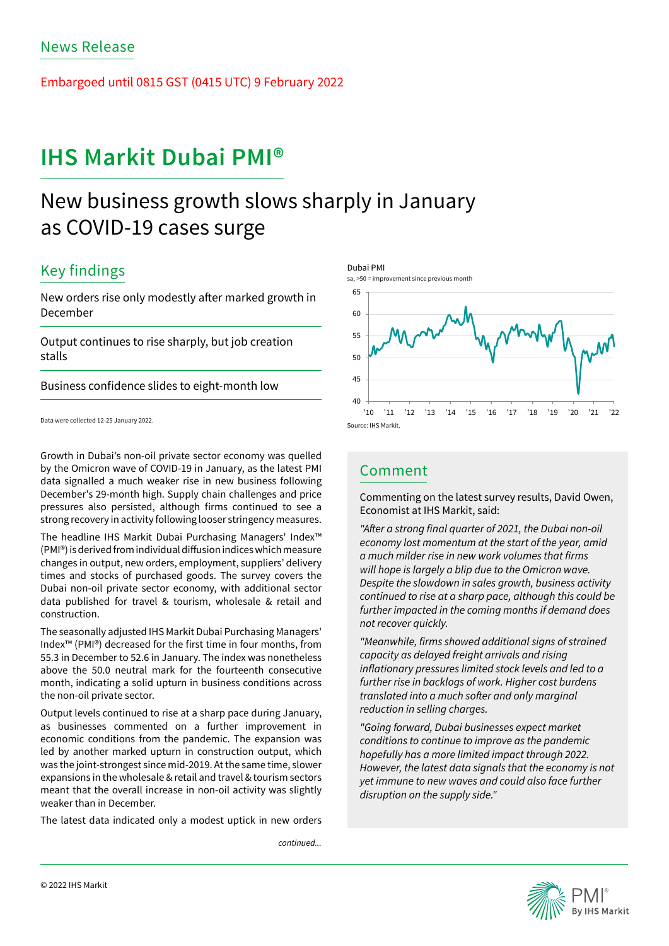Embargoed until 0815 GST (0415 UTC) 9 February 2022

# **IHS Markit Dubai PMI®**

# New business growth slows sharply in January as COVID-19 cases surge

## Key findings

New orders rise only modestly after marked growth in December

Output continues to rise sharply, but job creation stalls

Business confidence slides to eight-month low

Data were collected 12-25 January 2022.

Growth in Dubai's non-oil private sector economy was quelled by the Omicron wave of COVID-19 in January, as the latest PMI data signalled a much weaker rise in new business following December's 29-month high. Supply chain challenges and price pressures also persisted, although firms continued to see a strong recovery in activity following looser stringency measures.

The headline IHS Markit Dubai Purchasing Managers' Index™ (PMI®) is derived from individual diffusion indices which measure changes in output, new orders, employment, suppliers' delivery times and stocks of purchased goods. The survey covers the Dubai non-oil private sector economy, with additional sector data published for travel & tourism, wholesale & retail and construction.

The seasonally adjusted IHS Markit Dubai Purchasing Managers' Index™ (PMI®) decreased for the first time in four months, from 55.3 in December to 52.6 in January. The index was nonetheless above the 50.0 neutral mark for the fourteenth consecutive month, indicating a solid upturn in business conditions across the non-oil private sector.

Output levels continued to rise at a sharp pace during January, as businesses commented on a further improvement in economic conditions from the pandemic. The expansion was led by another marked upturn in construction output, which was the joint-strongest since mid-2019. At the same time, slower expansions in the wholesale & retail and travel & tourism sectors meant that the overall increase in non-oil activity was slightly weaker than in December.

The latest data indicated only a modest uptick in new orders

*continued...*



## Comment

Commenting on the latest survey results, David Owen, Economist at IHS Markit, said:

"After a strong final quarter of 2021, the Dubai non-oil economy lost momentum at the start of the year, amid a much milder rise in new work volumes that firms will hope is largely a blip due to the Omicron wave. Despite the slowdown in sales growth, business activity continued to rise at a sharp pace, although this could be further impacted in the coming months if demand does not recover quickly.

"Meanwhile, firms showed additional signs of strained capacity as delayed freight arrivals and rising inflationary pressures limited stock levels and led to a further rise in backlogs of work. Higher cost burdens translated into a much softer and only marginal reduction in selling charges.

"Going forward, Dubai businesses expect market conditions to continue to improve as the pandemic hopefully has a more limited impact through 2022. However, the latest data signals that the economy is not yet immune to new waves and could also face further disruption on the supply side."